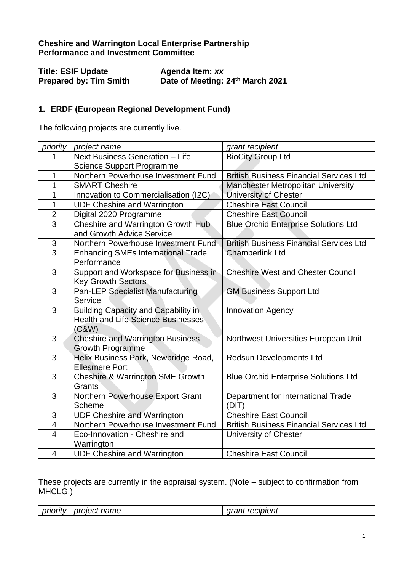## **Cheshire and Warrington Local Enterprise Partnership Performance and Investment Committee**

| <b>Title: ESIF Update</b>     | Agenda Item: xx                  |
|-------------------------------|----------------------------------|
| <b>Prepared by: Tim Smith</b> | Date of Meeting: 24th March 2021 |

## **1. ERDF (European Regional Development Fund)**

The following projects are currently live.

| priority       | project name                                | grant recipient                                |
|----------------|---------------------------------------------|------------------------------------------------|
| 1              | Next Business Generation - Life             | <b>BioCity Group Ltd</b>                       |
|                | <b>Science Support Programme</b>            |                                                |
| 1              | Northern Powerhouse Investment Fund         | <b>British Business Financial Services Ltd</b> |
| 1              | <b>SMART Cheshire</b>                       | <b>Manchester Metropolitan University</b>      |
| 1              | Innovation to Commercialisation (I2C)       | University of Chester                          |
| 1              | <b>UDF Cheshire and Warrington</b>          | <b>Cheshire East Council</b>                   |
| $\overline{2}$ | Digital 2020 Programme                      | <b>Cheshire East Council</b>                   |
| 3              | Cheshire and Warrington Growth Hub          | <b>Blue Orchid Enterprise Solutions Ltd</b>    |
|                | and Growth Advice Service                   |                                                |
| $\frac{3}{3}$  | Northern Powerhouse Investment Fund         | <b>British Business Financial Services Ltd</b> |
|                | <b>Enhancing SMEs International Trade</b>   | <b>Chamberlink Ltd</b>                         |
|                | Performance                                 |                                                |
| 3              | Support and Workspace for Business in       | <b>Cheshire West and Chester Council</b>       |
|                | <b>Key Growth Sectors</b>                   |                                                |
| 3              | <b>Pan-LEP Specialist Manufacturing</b>     | <b>GM Business Support Ltd</b>                 |
|                | Service                                     |                                                |
| 3              | <b>Building Capacity and Capability in</b>  | Innovation Agency                              |
|                | <b>Health and Life Science Businesses</b>   |                                                |
|                | (C&W)                                       |                                                |
| 3              | <b>Cheshire and Warrington Business</b>     | Northwest Universities European Unit           |
|                | <b>Growth Programme</b>                     |                                                |
| $\overline{3}$ | Helix Business Park, Newbridge Road,        | <b>Redsun Developments Ltd</b>                 |
|                | <b>Ellesmere Port</b>                       |                                                |
| 3              | <b>Cheshire &amp; Warrington SME Growth</b> | <b>Blue Orchid Enterprise Solutions Ltd</b>    |
|                | Grants                                      |                                                |
| 3              | Northern Powerhouse Export Grant            | Department for International Trade             |
|                | Scheme                                      | (DIT)                                          |
| 3              | <b>UDF Cheshire and Warrington</b>          | <b>Cheshire East Council</b>                   |
| $\overline{4}$ | Northern Powerhouse Investment Fund         | <b>British Business Financial Services Ltd</b> |
| $\overline{4}$ | Eco-Innovation - Cheshire and               | University of Chester                          |
|                | Warrington                                  |                                                |
| $\overline{4}$ | <b>UDF Cheshire and Warrington</b>          | <b>Cheshire East Council</b>                   |

These projects are currently in the appraisal system. (Note – subject to confirmation from MHCLG.)

| .<br>name<br>------<br>nrı<br>necr<br>,,,,,,<br><u>NIIVIILI</u> | $\cdots$<br>ונ∽<br><br>ו וסו |
|-----------------------------------------------------------------|------------------------------|
|-----------------------------------------------------------------|------------------------------|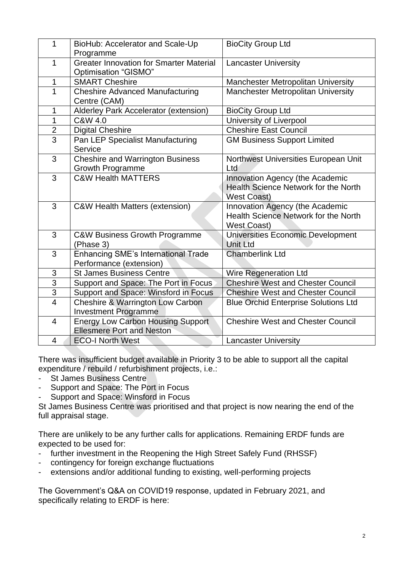| 1                        | BioHub: Accelerator and Scale-Up<br>Programme                                | <b>BioCity Group Ltd</b>                                                                      |
|--------------------------|------------------------------------------------------------------------------|-----------------------------------------------------------------------------------------------|
| 1                        | <b>Greater Innovation for Smarter Material</b><br>Optimisation "GISMO"       | <b>Lancaster University</b>                                                                   |
| 1                        | <b>SMART Cheshire</b>                                                        | <b>Manchester Metropolitan University</b>                                                     |
| 1                        | <b>Cheshire Advanced Manufacturing</b><br>Centre (CAM)                       | <b>Manchester Metropolitan University</b>                                                     |
| 1                        | Alderley Park Accelerator (extension)                                        | <b>BioCity Group Ltd</b>                                                                      |
| $\mathbf 1$              | C&W 4.0                                                                      | University of Liverpool                                                                       |
| $\overline{2}$           | <b>Digital Cheshire</b>                                                      | <b>Cheshire East Council</b>                                                                  |
| $\overline{3}$           | Pan LEP Specialist Manufacturing<br>Service                                  | <b>GM Business Support Limited</b>                                                            |
| 3                        | <b>Cheshire and Warrington Business</b><br><b>Growth Programme</b>           | Northwest Universities European Unit<br>Ltd                                                   |
| 3                        | <b>C&amp;W Health MATTERS</b>                                                | Innovation Agency (the Academic<br>Health Science Network for the North<br><b>West Coast)</b> |
| 3                        | <b>C&amp;W Health Matters (extension)</b>                                    | Innovation Agency (the Academic<br>Health Science Network for the North<br><b>West Coast)</b> |
| 3                        | <b>C&amp;W Business Growth Programme</b><br>(Phase 3)                        | Universities Economic Development<br><b>Unit Ltd</b>                                          |
| 3                        | <b>Enhancing SME's International Trade</b><br>Performance (extension)        | <b>Chamberlink Ltd</b>                                                                        |
| $\sqrt{3}$               | <b>St James Business Centre</b>                                              | Wire Regeneration Ltd                                                                         |
| $\overline{3}$           | Support and Space: The Port in Focus                                         | <b>Cheshire West and Chester Council</b>                                                      |
| 3                        | Support and Space: Winsford in Focus                                         | <b>Cheshire West and Chester Council</b>                                                      |
| $\overline{4}$           | <b>Cheshire &amp; Warrington Low Carbon</b><br><b>Investment Programme</b>   | <b>Blue Orchid Enterprise Solutions Ltd</b>                                                   |
| $\overline{4}$           | <b>Energy Low Carbon Housing Support</b><br><b>Ellesmere Port and Neston</b> | <b>Cheshire West and Chester Council</b>                                                      |
| $\overline{\mathcal{A}}$ | <b>ECO-I North West</b>                                                      | Lancaster University                                                                          |

There was insufficient budget available in Priority 3 to be able to support all the capital expenditure / rebuild / refurbishment projects, i.e.:

- St James Business Centre
- Support and Space: The Port in Focus
- Support and Space: Winsford in Focus

St James Business Centre was prioritised and that project is now nearing the end of the full appraisal stage.

There are unlikely to be any further calls for applications. Remaining ERDF funds are expected to be used for:

- further investment in the Reopening the High Street Safely Fund (RHSSF)
- contingency for foreign exchange fluctuations
- extensions and/or additional funding to existing, well-performing projects

The Government's Q&A on COVID19 response, updated in February 2021, and specifically relating to ERDF is here: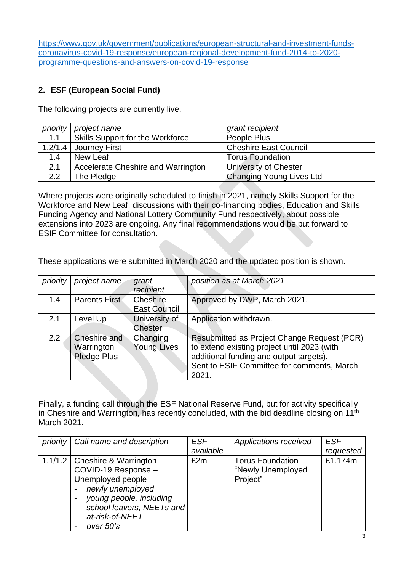https://www.gov.uk/government/publications/european-structural-and-investment-fundscoronavirus-covid-19-response/european-regional-development-fund-2014-to-2020 programme-questions-and-answers-on-covid-19-response

## **2. ESF (European Social Fund)**

The following projects are currently live.

|     | priority   project name                   | grant recipient                 |
|-----|-------------------------------------------|---------------------------------|
| 1.1 | Skills Support for the Workforce          | People Plus                     |
|     | 1.2/1.4 Journey First                     | <b>Cheshire East Council</b>    |
| 1.4 | New Leaf                                  | <b>Torus Foundation</b>         |
| 2.1 | <b>Accelerate Cheshire and Warrington</b> | University of Chester           |
| 2.2 | The Pledge                                | <b>Changing Young Lives Ltd</b> |

Where projects were originally scheduled to finish in 2021, namely Skills Support for the Workforce and New Leaf, discussions with their co-financing bodies, Education and Skills Funding Agency and National Lottery Community Fund respectively, about possible extensions into 2023 are ongoing. Any final recommendations would be put forward to ESIF Committee for consultation.

These applications were submitted in March 2020 and the updated position is shown.

| priority | project name                              | grant<br>recipient              | position as at March 2021                                                                                                                                                                    |
|----------|-------------------------------------------|---------------------------------|----------------------------------------------------------------------------------------------------------------------------------------------------------------------------------------------|
| 1.4      | <b>Parents First</b>                      | Cheshire<br><b>East Council</b> | Approved by DWP, March 2021.                                                                                                                                                                 |
| 2.1      | Level Up                                  | University of<br>Chester        | Application withdrawn.                                                                                                                                                                       |
| 2.2      | Cheshire and<br>Warrington<br>Pledge Plus | Changing<br><b>Young Lives</b>  | Resubmitted as Project Change Request (PCR)<br>to extend existing project until 2023 (with<br>additional funding and output targets).<br>Sent to ESIF Committee for comments, March<br>2021. |

Finally, a funding call through the ESF National Reserve Fund, but for activity specifically in Cheshire and Warrington, has recently concluded, with the bid deadline closing on 11<sup>th</sup> March 2021.

| priority   Call name and description  | <b>ESF</b> | Applications received   | <b>ESF</b> |
|---------------------------------------|------------|-------------------------|------------|
|                                       | available  |                         | requested  |
| 1.1/1.2   Cheshire & Warrington       | £2m        | <b>Torus Foundation</b> | £1.174m    |
| COVID-19 Response -                   |            | "Newly Unemployed       |            |
| Unemployed people                     |            | Project"                |            |
| newly unemployed                      |            |                         |            |
| young people, including               |            |                         |            |
| school leavers, NEETs and             |            |                         |            |
| at-risk-of-NEET                       |            |                         |            |
| over 50's<br>$\overline{\phantom{0}}$ |            |                         |            |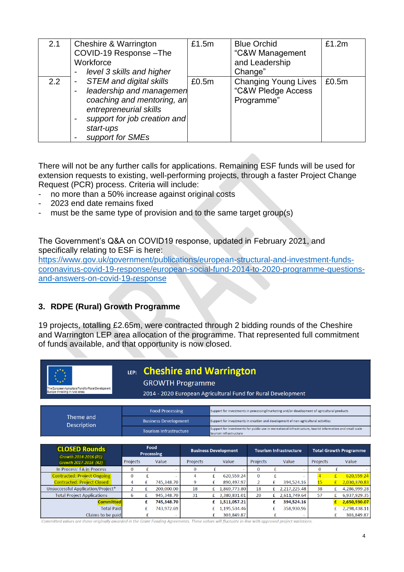| 2.1 | Cheshire & Warrington<br>COVID-19 Response-The<br>Workforce<br>level 3 skills and higher                                                                                                                             | £1.5m | <b>Blue Orchid</b><br>"C&W Management<br>and Leadership<br>Change" | £1.2m |
|-----|----------------------------------------------------------------------------------------------------------------------------------------------------------------------------------------------------------------------|-------|--------------------------------------------------------------------|-------|
| 2.2 | <b>STEM and digital skills</b><br>-<br>leadership and managemen<br>coaching and mentoring, an<br>entrepreneurial skills<br>support for job creation and<br>$\overline{\phantom{0}}$<br>start-ups<br>support for SMEs | £0.5m | <b>Changing Young Lives</b><br>"C&W Pledge Access<br>Programme"    | £0.5m |

There will not be any further calls for applications. Remaining ESF funds will be used for extension requests to existing, well-performing projects, through a faster Project Change Request (PCR) process. Criteria will include:

- no more than a 50% increase against original costs
- 2023 end date remains fixed
- must be the same type of provision and to the same target group(s)

The Government's Q&A on COVID19 response, updated in February 2021, and specifically relating to ESF is here:

https://www.gov.uk/government/publications/european-structural-and-investment-fundscoronavirus-covid-19-response/european-social-fund-2014-to-2020-programme-questionsand-answers-on-covid-19-response

## **3. RDPE (Rural) Growth Programme**

19 projects, totalling £2.65m, were contracted through 2 bidding rounds of the Cheshire and Warrington LEP area allocation of the programme. That represented full commitment of funds available, and that opportunity is now closed.

| LEP: Cheshire and Warrington<br><b>GROWTH Programme</b><br>The European Agricultural Fund for Rural Development:<br>Europe investing in rural areas<br>2014 - 2020 European Agricultural Fund for Rural Development |                                                              |                           |            |              |                                                                                                                                      |                             |              |                               |              |                               |   |              |
|---------------------------------------------------------------------------------------------------------------------------------------------------------------------------------------------------------------------|--------------------------------------------------------------|---------------------------|------------|--------------|--------------------------------------------------------------------------------------------------------------------------------------|-----------------------------|--------------|-------------------------------|--------------|-------------------------------|---|--------------|
| <b>Food Processing</b><br>Support for investments in processing/marketing and/or development of agricultural products                                                                                               |                                                              |                           |            |              |                                                                                                                                      |                             |              |                               |              |                               |   |              |
| Theme and<br><b>Description</b>                                                                                                                                                                                     | <b>Business Development</b><br><b>Tourism Infrastructure</b> |                           |            |              | Support for investments in creation and development of non-agricultural activities                                                   |                             |              |                               |              |                               |   |              |
|                                                                                                                                                                                                                     |                                                              |                           |            |              | Support for investments for public use in recreational infrastructure, tourist information and small scale<br>tourism infrastructure |                             |              |                               |              |                               |   |              |
|                                                                                                                                                                                                                     |                                                              |                           |            |              |                                                                                                                                      |                             |              |                               |              |                               |   |              |
| <b>CLOSED Rounds</b>                                                                                                                                                                                                |                                                              | Food<br><b>Processing</b> |            |              |                                                                                                                                      | <b>Business Development</b> |              | <b>Tourism Infrastructure</b> |              | <b>Total Growth Programme</b> |   |              |
| Growth 2014-2016 (R1)<br>Growth 2017-2018 (R2)                                                                                                                                                                      | Projects                                                     |                           | Value      | Projects     |                                                                                                                                      | Value                       | Projects     |                               | Value        | Projects                      |   | Value        |
| In Process: FA in Process                                                                                                                                                                                           | $\mathbf{0}$                                                 | £                         |            | $\mathbf{0}$ | £                                                                                                                                    |                             | $\mathbf{0}$ | £                             |              | $\bf{0}$                      | £ |              |
| <b>Contracted: Project Ongoing</b>                                                                                                                                                                                  | $\bf{0}$                                                     | £                         |            | 4            | £                                                                                                                                    | 620,559.24                  | $\bf{0}$     | £                             |              | $\overline{4}$                | £ | 620,559.24   |
| <b>Contracted: Project Closed</b>                                                                                                                                                                                   | 4                                                            | £                         | 745,348.70 | 9            | £                                                                                                                                    | 890,497.97                  | 2            | £                             | 394,524.16   | 15                            | f | 2,030,370.83 |
| Unsuccessful Application/Project*                                                                                                                                                                                   | $\overline{2}$                                               | £                         | 200,000.00 | 18           | £                                                                                                                                    | 1,869,773.80                | 18           |                               | 2,217,225.48 | 38                            | £ | 4,286,999.28 |
| <b>Total Project Applications</b>                                                                                                                                                                                   | 6                                                            | £                         | 945,348.70 | 31           |                                                                                                                                      | 3,380,831.01                | 20           |                               | 2,611,749.64 | 57                            | £ | 6,937,929.35 |
| <b>Committed</b>                                                                                                                                                                                                    |                                                              | £                         | 745,348.70 |              | £                                                                                                                                    | 1,511,057.21                |              | £                             | 394,524.16   |                               |   | 2,650,930.07 |
| <b>Total Paid</b>                                                                                                                                                                                                   |                                                              | £                         | 743,972.69 |              |                                                                                                                                      | 1,195,534.46                |              | £                             | 358,930.96   |                               |   | 2,298,438.11 |
| Claims to be paid                                                                                                                                                                                                   |                                                              | £                         |            |              |                                                                                                                                      | 303,849.87                  |              | £                             |              |                               |   | 303,849.87   |

Committed values are those originally awarded in the Grant Fundina Agreements. These values will fluctuate in-line with approved project variations.